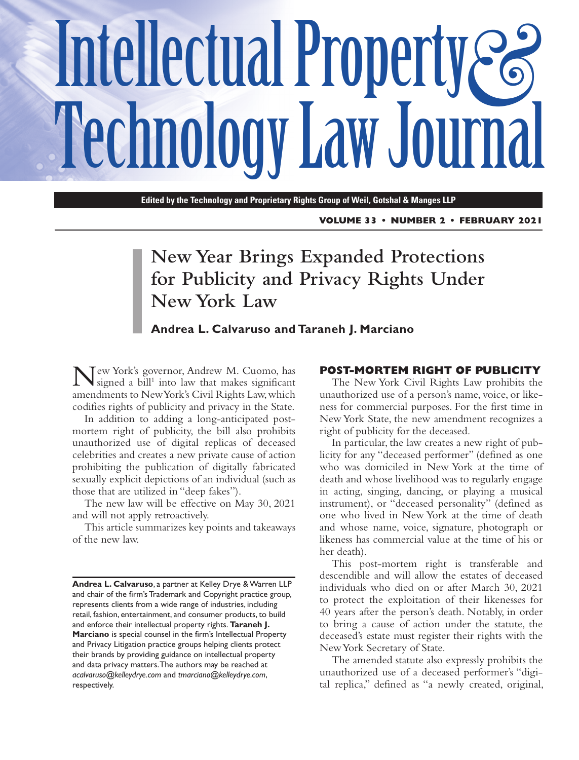# Intellectual Property  $\mathcal{E}$ **Technology Law Journal**

**Edited by the Technology and Proprietary Rights Group of Weil, Gotshal & Manges LLP**

**VOLUME 33 • NUMBER 2 • FEBRUARY 2021**

# **New Year Brings Expanded Protections for Publicity and Privacy Rights Under New York Law**

# **Andrea L. Calvaruso and Taraneh J. Marciano**

Tew York's governor, Andrew M. Cuomo, has signed a  $\text{bill}^1$  into law that makes significant amendments to New York's Civil Rights Law, which codifies rights of publicity and privacy in the State.

In addition to adding a long-anticipated postmortem right of publicity, the bill also prohibits unauthorized use of digital replicas of deceased celebrities and creates a new private cause of action prohibiting the publication of digitally fabricated sexually explicit depictions of an individual (such as those that are utilized in "deep fakes").

The new law will be effective on May 30, 2021 and will not apply retroactively.

This article summarizes key points and takeaways of the new law.

#### **POST-MORTEM RIGHT OF PUBLICITY**

The New York Civil Rights Law prohibits the unauthorized use of a person's name, voice, or likeness for commercial purposes. For the first time in New York State, the new amendment recognizes a right of publicity for the deceased.

In particular, the law creates a new right of publicity for any "deceased performer" (defined as one who was domiciled in New York at the time of death and whose livelihood was to regularly engage in acting, singing, dancing, or playing a musical instrument), or "deceased personality" (defined as one who lived in New York at the time of death and whose name, voice, signature, photograph or likeness has commercial value at the time of his or her death).

This post-mortem right is transferable and descendible and will allow the estates of deceased individuals who died on or after March 30, 2021 to protect the exploitation of their likenesses for 40 years after the person's death. Notably, in order to bring a cause of action under the statute, the deceased's estate must register their rights with the New York Secretary of State.

The amended statute also expressly prohibits the unauthorized use of a deceased performer's "digital replica," defined as "a newly created, original,

**Andrea L. Calvaruso**, a partner at Kelley Drye & Warren LLP and chair of the firm's Trademark and Copyright practice group, represents clients from a wide range of industries, including retail, fashion, entertainment, and consumer products, to build and enforce their intellectual property rights. **Taraneh J. Marciano** is special counsel in the firm's Intellectual Property and Privacy Litigation practice groups helping clients protect their brands by providing guidance on intellectual property and data privacy matters. The authors may be reached at *acalvaruso@kelleydrye.com* and *tmarciano@kelleydrye.com*, respectively.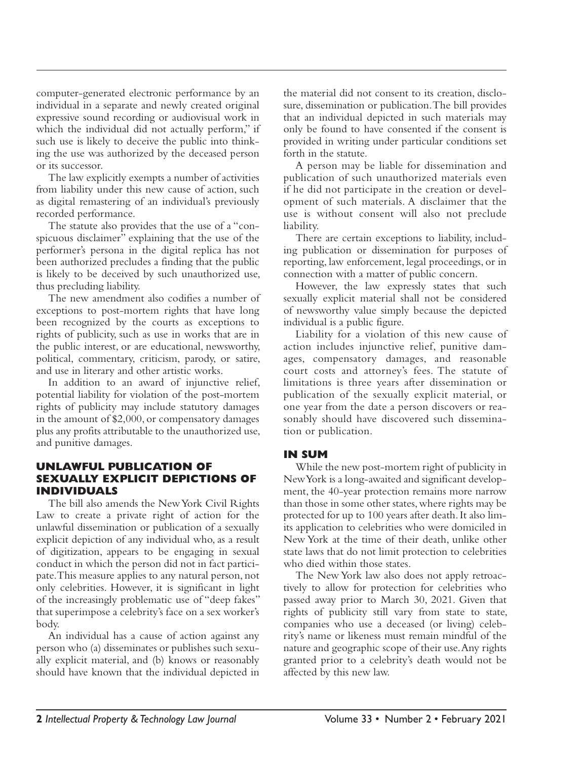computer-generated electronic performance by an individual in a separate and newly created original expressive sound recording or audiovisual work in which the individual did not actually perform," if such use is likely to deceive the public into thinking the use was authorized by the deceased person or its successor.

The law explicitly exempts a number of activities from liability under this new cause of action, such as digital remastering of an individual's previously recorded performance.

The statute also provides that the use of a "conspicuous disclaimer" explaining that the use of the performer's persona in the digital replica has not been authorized precludes a finding that the public is likely to be deceived by such unauthorized use, thus precluding liability.

The new amendment also codifies a number of exceptions to post-mortem rights that have long been recognized by the courts as exceptions to rights of publicity, such as use in works that are in the public interest, or are educational, newsworthy, political, commentary, criticism, parody, or satire, and use in literary and other artistic works.

In addition to an award of injunctive relief, potential liability for violation of the post-mortem rights of publicity may include statutory damages in the amount of \$2,000, or compensatory damages plus any profits attributable to the unauthorized use, and punitive damages.

# **UNLAWFUL PUBLICATION OF SEXUALLY EXPLICIT DEPICTIONS OF INDIVIDUALS**

The bill also amends the New York Civil Rights Law to create a private right of action for the unlawful dissemination or publication of a sexually explicit depiction of any individual who, as a result of digitization, appears to be engaging in sexual conduct in which the person did not in fact participate. This measure applies to any natural person, not only celebrities. However, it is significant in light of the increasingly problematic use of "deep fakes" that superimpose a celebrity's face on a sex worker's body.

An individual has a cause of action against any person who (a) disseminates or publishes such sexually explicit material, and (b) knows or reasonably should have known that the individual depicted in

the material did not consent to its creation, disclosure, dissemination or publication. The bill provides that an individual depicted in such materials may only be found to have consented if the consent is provided in writing under particular conditions set forth in the statute.

A person may be liable for dissemination and publication of such unauthorized materials even if he did not participate in the creation or development of such materials. A disclaimer that the use is without consent will also not preclude liability.

There are certain exceptions to liability, including publication or dissemination for purposes of reporting, law enforcement, legal proceedings, or in connection with a matter of public concern.

However, the law expressly states that such sexually explicit material shall not be considered of newsworthy value simply because the depicted individual is a public figure.

Liability for a violation of this new cause of action includes injunctive relief, punitive damages, compensatory damages, and reasonable court costs and attorney's fees. The statute of limitations is three years after dissemination or publication of the sexually explicit material, or one year from the date a person discovers or reasonably should have discovered such dissemination or publication.

# **IN SUM**

While the new post-mortem right of publicity in New York is a long-awaited and significant development, the 40-year protection remains more narrow than those in some other states, where rights may be protected for up to 100 years after death. It also limits application to celebrities who were domiciled in New York at the time of their death, unlike other state laws that do not limit protection to celebrities who died within those states.

The New York law also does not apply retroactively to allow for protection for celebrities who passed away prior to March 30, 2021. Given that rights of publicity still vary from state to state, companies who use a deceased (or living) celebrity's name or likeness must remain mindful of the nature and geographic scope of their use. Any rights granted prior to a celebrity's death would not be affected by this new law.